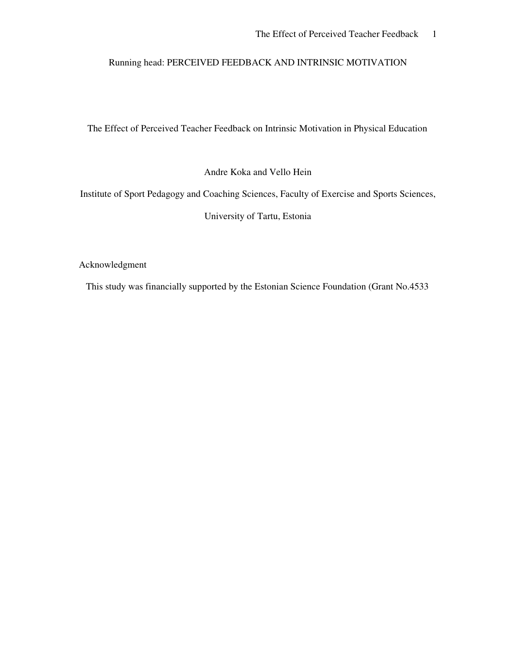## Running head: PERCEIVED FEEDBACK AND INTRINSIC MOTIVATION

The Effect of Perceived Teacher Feedback on Intrinsic Motivation in Physical Education

Andre Koka and Vello Hein

Institute of Sport Pedagogy and Coaching Sciences, Faculty of Exercise and Sports Sciences,

University of Tartu, Estonia

Acknowledgment

This study was financially supported by the Estonian Science Foundation (Grant No.4533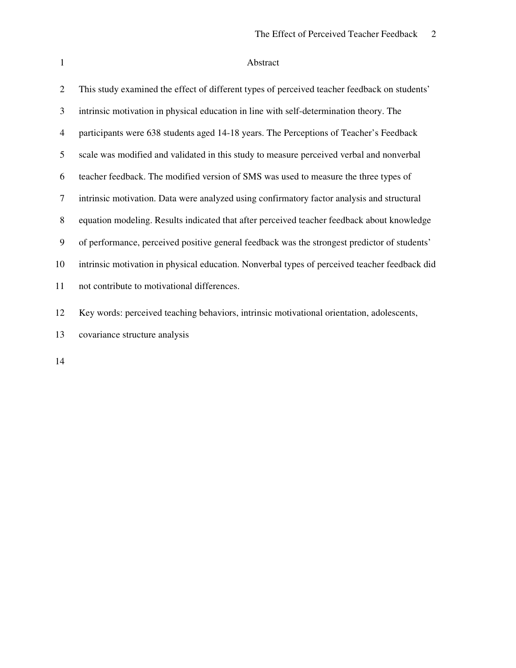# Abstract

| 2              | This study examined the effect of different types of perceived teacher feedback on students'  |
|----------------|-----------------------------------------------------------------------------------------------|
| 3              | intrinsic motivation in physical education in line with self-determination theory. The        |
| $\overline{4}$ | participants were 638 students aged 14-18 years. The Perceptions of Teacher's Feedback        |
| 5              | scale was modified and validated in this study to measure perceived verbal and nonverbal      |
| 6              | teacher feedback. The modified version of SMS was used to measure the three types of          |
| 7              | intrinsic motivation. Data were analyzed using confirmatory factor analysis and structural    |
| 8              | equation modeling. Results indicated that after perceived teacher feedback about knowledge    |
| 9              | of performance, perceived positive general feedback was the strongest predictor of students'  |
| 10             | intrinsic motivation in physical education. Nonverbal types of perceived teacher feedback did |
| 11             | not contribute to motivational differences.                                                   |
| 12             | Key words: perceived teaching behaviors, intrinsic motivational orientation, adolescents,     |
| 13             | covariance structure analysis                                                                 |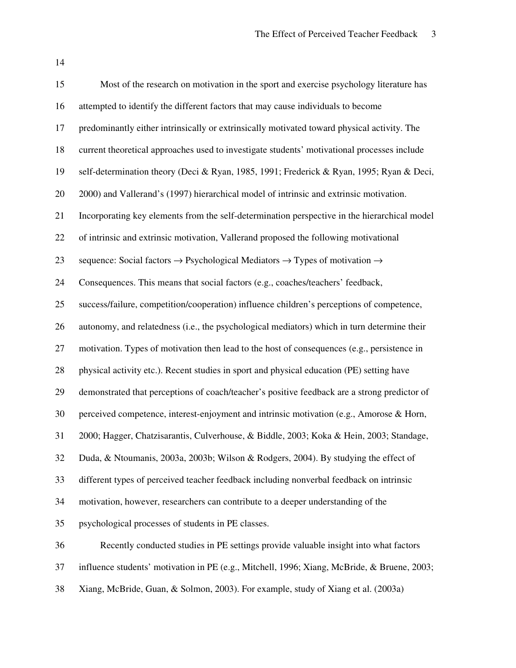| 15 | Most of the research on motivation in the sport and exercise psychology literature has                         |
|----|----------------------------------------------------------------------------------------------------------------|
| 16 | attempted to identify the different factors that may cause individuals to become                               |
| 17 | predominantly either intrinsically or extrinsically motivated toward physical activity. The                    |
| 18 | current theoretical approaches used to investigate students' motivational processes include                    |
| 19 | self-determination theory (Deci & Ryan, 1985, 1991; Frederick & Ryan, 1995; Ryan & Deci,                       |
| 20 | 2000) and Vallerand's (1997) hierarchical model of intrinsic and extrinsic motivation.                         |
| 21 | Incorporating key elements from the self-determination perspective in the hierarchical model                   |
| 22 | of intrinsic and extrinsic motivation, Vallerand proposed the following motivational                           |
| 23 | sequence: Social factors $\rightarrow$ Psychological Mediators $\rightarrow$ Types of motivation $\rightarrow$ |
| 24 | Consequences. This means that social factors (e.g., coaches/teachers' feedback,                                |
| 25 | success/failure, competition/cooperation) influence children's perceptions of competence,                      |
| 26 | autonomy, and relatedness (i.e., the psychological mediators) which in turn determine their                    |
| 27 | motivation. Types of motivation then lead to the host of consequences (e.g., persistence in                    |
| 28 | physical activity etc.). Recent studies in sport and physical education (PE) setting have                      |
| 29 | demonstrated that perceptions of coach/teacher's positive feedback are a strong predictor of                   |
| 30 | perceived competence, interest-enjoyment and intrinsic motivation (e.g., Amorose & Horn,                       |
| 31 | 2000; Hagger, Chatzisarantis, Culverhouse, & Biddle, 2003; Koka & Hein, 2003; Standage,                        |
| 32 | Duda, & Ntoumanis, 2003a, 2003b; Wilson & Rodgers, 2004). By studying the effect of                            |
| 33 | different types of perceived teacher feedback including nonverbal feedback on intrinsic                        |
| 34 | motivation, however, researchers can contribute to a deeper understanding of the                               |
| 35 | psychological processes of students in PE classes.                                                             |
| 36 | Recently conducted studies in PE settings provide valuable insight into what factors                           |
| 37 | influence students' motivation in PE (e.g., Mitchell, 1996; Xiang, McBride, & Bruene, 2003;                    |
| 38 | Xiang, McBride, Guan, & Solmon, 2003). For example, study of Xiang et al. (2003a)                              |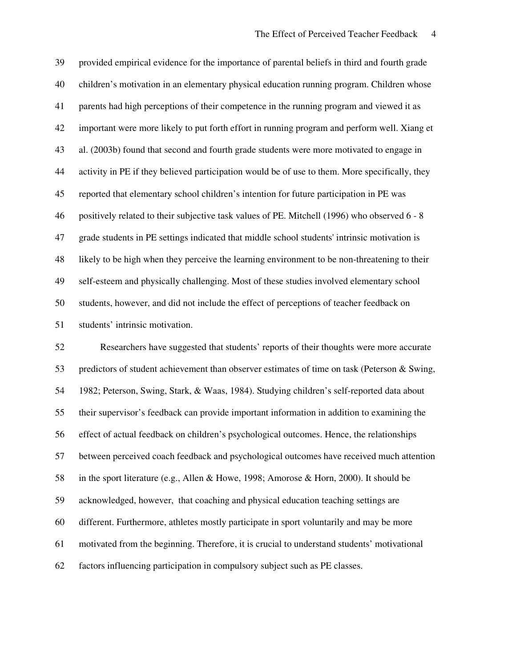provided empirical evidence for the importance of parental beliefs in third and fourth grade children's motivation in an elementary physical education running program. Children whose parents had high perceptions of their competence in the running program and viewed it as important were more likely to put forth effort in running program and perform well. Xiang et al. (2003b) found that second and fourth grade students were more motivated to engage in activity in PE if they believed participation would be of use to them. More specifically, they reported that elementary school children's intention for future participation in PE was positively related to their subjective task values of PE. Mitchell (1996) who observed 6 - 8 grade students in PE settings indicated that middle school students'intrinsic motivation is likely to be high when they perceive the learning environment to be non-threatening to their self-esteem and physically challenging. Most of these studies involved elementary school students, however, and did not include the effect of perceptions of teacher feedback on students' intrinsic motivation.

 Researchers have suggested that students' reports of their thoughts were more accurate predictors of student achievement than observer estimates of time on task (Peterson & Swing, 1982; Peterson, Swing, Stark, & Waas, 1984). Studying children's self-reported data about their supervisor's feedback can provide important information in addition to examining the effect of actual feedback on children's psychological outcomes. Hence, the relationships between perceived coach feedback and psychological outcomes have received much attention in the sport literature (e.g., Allen & Howe, 1998; Amorose & Horn, 2000). It should be acknowledged, however, that coaching and physical education teaching settings are different. Furthermore, athletes mostly participate in sport voluntarily and may be more motivated from the beginning. Therefore, it is crucial to understand students' motivational factors influencing participation in compulsory subject such as PE classes.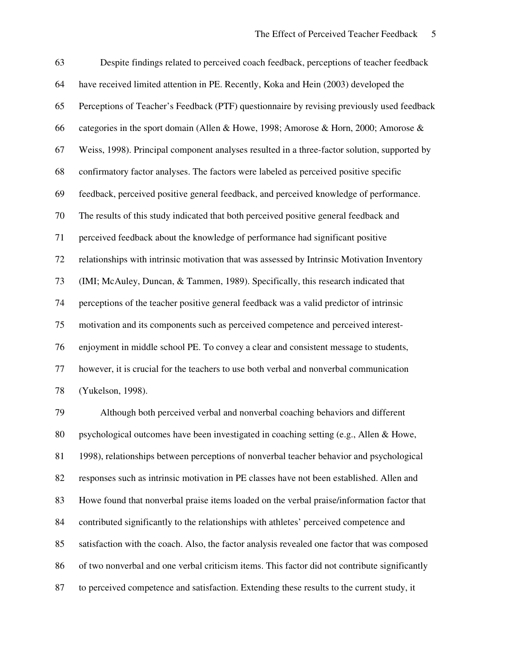| 63 | Despite findings related to perceived coach feedback, perceptions of teacher feedback        |
|----|----------------------------------------------------------------------------------------------|
| 64 | have received limited attention in PE. Recently, Koka and Hein (2003) developed the          |
| 65 | Perceptions of Teacher's Feedback (PTF) questionnaire by revising previously used feedback   |
| 66 | categories in the sport domain (Allen & Howe, 1998; Amorose & Horn, 2000; Amorose &          |
| 67 | Weiss, 1998). Principal component analyses resulted in a three-factor solution, supported by |
| 68 | confirmatory factor analyses. The factors were labeled as perceived positive specific        |
| 69 | feedback, perceived positive general feedback, and perceived knowledge of performance.       |
| 70 | The results of this study indicated that both perceived positive general feedback and        |
| 71 | perceived feedback about the knowledge of performance had significant positive               |
| 72 | relationships with intrinsic motivation that was assessed by Intrinsic Motivation Inventory  |
| 73 | (IMI; McAuley, Duncan, & Tammen, 1989). Specifically, this research indicated that           |
| 74 | perceptions of the teacher positive general feedback was a valid predictor of intrinsic      |
| 75 | motivation and its components such as perceived competence and perceived interest-           |
| 76 | enjoyment in middle school PE. To convey a clear and consistent message to students,         |
| 77 | however, it is crucial for the teachers to use both verbal and nonverbal communication       |
| 78 | (Yukelson, 1998).                                                                            |
| 79 | Although both perceived verbal and nonverbal coaching behaviors and different                |
| 80 | psychological outcomes have been investigated in coaching setting (e.g., Allen & Howe,       |
| 81 | 1998), relationships between perceptions of nonverbal teacher behavior and psychological     |
| 82 | responses such as intrinsic motivation in PE classes have not been established. Allen and    |
| 83 | Howe found that nonverbal praise items loaded on the verbal praise/information factor that   |

contributed significantly to the relationships with athletes' perceived competence and

satisfaction with the coach. Also, the factor analysis revealed one factor that was composed

of two nonverbal and one verbal criticism items. This factor did not contribute significantly

to perceived competence and satisfaction. Extending these results to the current study, it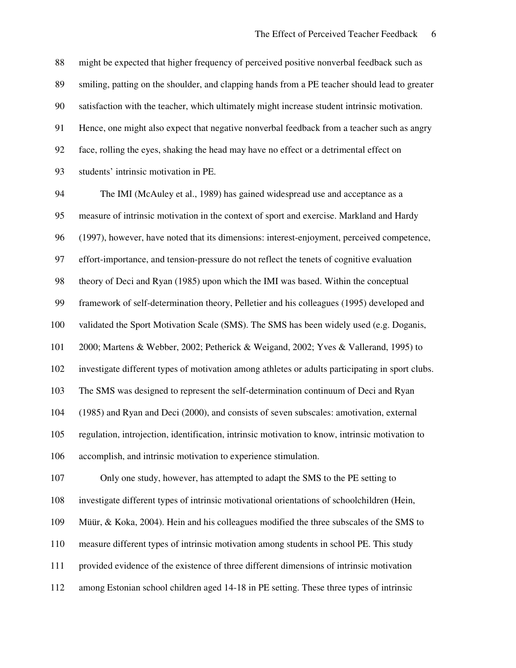might be expected that higher frequency of perceived positive nonverbal feedback such as smiling, patting on the shoulder, and clapping hands from a PE teacher should lead to greater satisfaction with the teacher, which ultimately might increase student intrinsic motivation. Hence, one might also expect that negative nonverbal feedback from a teacher such as angry face, rolling the eyes, shaking the head may have no effect or a detrimental effect on students' intrinsic motivation in PE. The IMI (McAuley et al., 1989) has gained widespread use and acceptance as a measure of intrinsic motivation in the context of sport and exercise. Markland and Hardy (1997), however, have noted that its dimensions: interest-enjoyment, perceived competence, effort-importance, and tension-pressure do not reflect the tenets of cognitive evaluation theory of Deci and Ryan (1985) upon which the IMI was based. Within the conceptual framework of self-determination theory, Pelletier and his colleagues (1995) developed and validated the Sport Motivation Scale (SMS). The SMS has been widely used (e.g. Doganis, 2000; Martens & Webber, 2002; Petherick & Weigand, 2002; Yves & Vallerand, 1995) to investigate different types of motivation among athletes or adults participating in sport clubs. The SMS was designed to represent the self-determination continuum of Deci and Ryan (1985) and Ryan and Deci (2000), and consists of seven subscales: amotivation, external regulation, introjection, identification, intrinsic motivation to know, intrinsic motivation to accomplish, and intrinsic motivation to experience stimulation. Only one study, however, has attempted to adapt the SMS to the PE setting to investigate different types of intrinsic motivational orientations of schoolchildren (Hein, Müür, & Koka, 2004). Hein and his colleagues modified the three subscales of the SMS to measure different types of intrinsic motivation among students in school PE. This study provided evidence of the existence of three different dimensions of intrinsic motivation among Estonian school children aged 14-18 in PE setting. These three types of intrinsic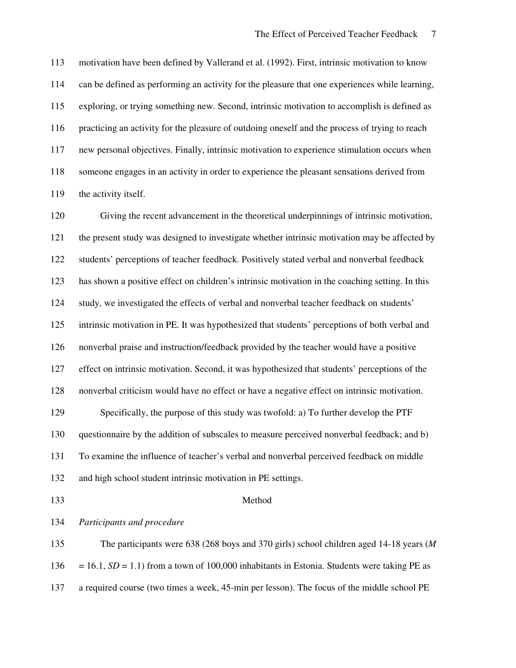motivation have been defined by Vallerand et al. (1992). First, intrinsic motivation to know can be defined as performing an activity for the pleasure that one experiences while learning, exploring, or trying something new. Second, intrinsic motivation to accomplish is defined as practicing an activity for the pleasure of outdoing oneself and the process of trying to reach new personal objectives. Finally, intrinsic motivation to experience stimulation occurs when someone engages in an activity in order to experience the pleasant sensations derived from 119 the activity itself.

 Giving the recent advancement in the theoretical underpinnings of intrinsic motivation, the present study was designed to investigate whether intrinsic motivation may be affected by students' perceptions of teacher feedback. Positively stated verbal and nonverbal feedback has shown a positive effect on children's intrinsic motivation in the coaching setting. In this study, we investigated the effects of verbal and nonverbal teacher feedback on students' intrinsic motivation in PE. It was hypothesized that students' perceptions of both verbal and nonverbal praise and instruction/feedback provided by the teacher would have a positive effect on intrinsic motivation. Second, it was hypothesized that students' perceptions of the nonverbal criticism would have no effect or have a negative effect on intrinsic motivation. Specifically, the purpose of this study was twofold: a) To further develop the PTF questionnaire by the addition of subscales to measure perceived nonverbal feedback; and b) To examine the influence of teacher's verbal and nonverbal perceived feedback on middle and high school student intrinsic motivation in PE settings. Method

*Participants and procedure*

 The participants were 638 (268 boys and 370 girls) school children aged 14-18 years (*M*  $136 = 16.1$ ,  $SD = 1.1$ ) from a town of 100,000 inhabitants in Estonia. Students were taking PE as a required course (two times a week, 45-min per lesson). The focus of the middle school PE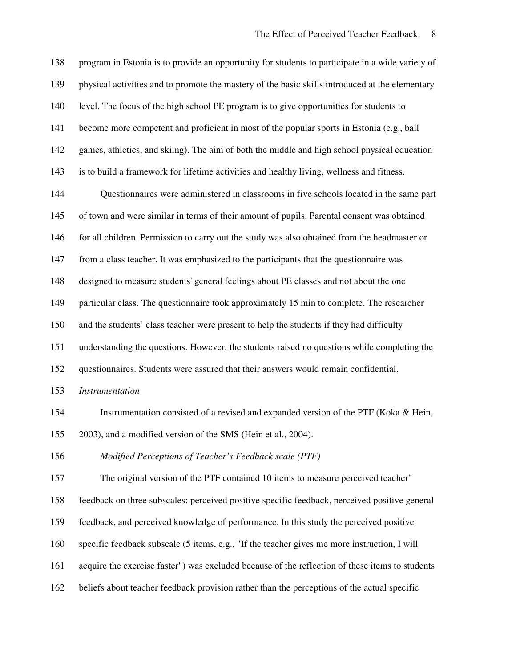| 138 | program in Estonia is to provide an opportunity for students to participate in a wide variety of |
|-----|--------------------------------------------------------------------------------------------------|
| 139 | physical activities and to promote the mastery of the basic skills introduced at the elementary  |
| 140 | level. The focus of the high school PE program is to give opportunities for students to          |
| 141 | become more competent and proficient in most of the popular sports in Estonia (e.g., ball        |
| 142 | games, athletics, and skiing). The aim of both the middle and high school physical education     |
| 143 | is to build a framework for lifetime activities and healthy living, wellness and fitness.        |
| 144 | Questionnaires were administered in classrooms in five schools located in the same part          |
| 145 | of town and were similar in terms of their amount of pupils. Parental consent was obtained       |
| 146 | for all children. Permission to carry out the study was also obtained from the headmaster or     |
| 147 | from a class teacher. It was emphasized to the participants that the questionnaire was           |
| 148 | designed to measure students' general feelings about PE classes and not about the one            |
| 149 | particular class. The questionnaire took approximately 15 min to complete. The researcher        |
| 150 | and the students' class teacher were present to help the students if they had difficulty         |
| 151 | understanding the questions. However, the students raised no questions while completing the      |
| 152 | questionnaires. Students were assured that their answers would remain confidential.              |
| 153 | <b>Instrumentation</b>                                                                           |
| 154 | Instrumentation consisted of a revised and expanded version of the PTF (Koka & Hein,             |
| 155 | 2003), and a modified version of the SMS (Hein et al., 2004).                                    |
| 156 | Modified Perceptions of Teacher's Feedback scale (PTF)                                           |
| 157 | The original version of the PTF contained 10 items to measure perceived teacher'                 |
| 158 | feedback on three subscales: perceived positive specific feedback, perceived positive general    |
| 159 | feedback, and perceived knowledge of performance. In this study the perceived positive           |
| 160 | specific feedback subscale (5 items, e.g., "If the teacher gives me more instruction, I will     |
| 161 | acquire the exercise faster") was excluded because of the reflection of these items to students  |
| 162 | beliefs about teacher feedback provision rather than the perceptions of the actual specific      |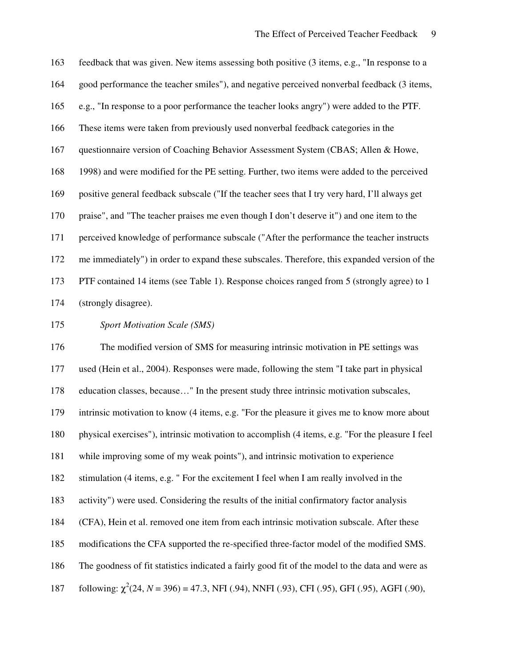| 163 | feedback that was given. New items assessing both positive (3 items, e.g., "In response to a       |
|-----|----------------------------------------------------------------------------------------------------|
| 164 | good performance the teacher smiles"), and negative perceived nonverbal feedback (3 items,         |
| 165 | e.g., "In response to a poor performance the teacher looks angry") were added to the PTF.          |
| 166 | These items were taken from previously used nonverbal feedback categories in the                   |
| 167 | questionnaire version of Coaching Behavior Assessment System (CBAS; Allen & Howe,                  |
| 168 | 1998) and were modified for the PE setting. Further, two items were added to the perceived         |
| 169 | positive general feedback subscale ("If the teacher sees that I try very hard, I'll always get     |
| 170 | praise", and "The teacher praises me even though I don't deserve it") and one item to the          |
| 171 | perceived knowledge of performance subscale ("After the performance the teacher instructs          |
| 172 | me immediately") in order to expand these subscales. Therefore, this expanded version of the       |
| 173 | PTF contained 14 items (see Table 1). Response choices ranged from 5 (strongly agree) to 1         |
| 174 | (strongly disagree).                                                                               |
| 175 | <b>Sport Motivation Scale (SMS)</b>                                                                |
| 176 | The modified version of SMS for measuring intrinsic motivation in PE settings was                  |
| 177 | used (Hein et al., 2004). Responses were made, following the stem "I take part in physical         |
| 178 | education classes, because" In the present study three intrinsic motivation subscales,             |
| 179 | intrinsic motivation to know (4 items, e.g. "For the pleasure it gives me to know more about       |
| 180 | physical exercises"), intrinsic motivation to accomplish (4 items, e.g. "For the pleasure I feel   |
| 181 | while improving some of my weak points"), and intrinsic motivation to experience                   |
| 182 | stimulation (4 items, e.g. " For the excitement I feel when I am really involved in the            |
| 183 | activity") were used. Considering the results of the initial confirmatory factor analysis          |
| 184 | (CFA), Hein et al. removed one item from each intrinsic motivation subscale. After these           |
| 185 | modifications the CFA supported the re-specified three-factor model of the modified SMS.           |
| 186 | The goodness of fit statistics indicated a fairly good fit of the model to the data and were as    |
| 187 | following: $\chi^2(24, N = 396) = 47.3$ , NFI (.94), NNFI (.93), CFI (.95), GFI (.95), AGFI (.90), |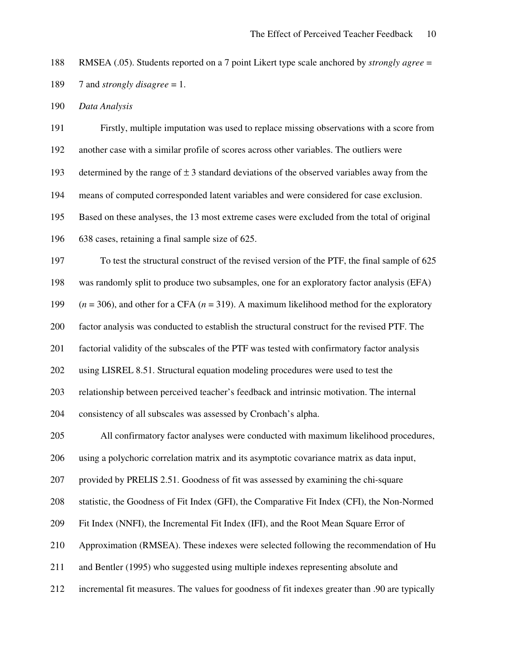RMSEA (.05). Students reported on a 7 point Likert type scale anchored by *strongly agree* = 7 and *strongly disagree* = 1.

*Data Analysis*

 Firstly, multiple imputation was used to replace missing observations with a score from another case with a similar profile of scores across other variables. The outliers were 193 determined by the range of  $\pm 3$  standard deviations of the observed variables away from the means of computed corresponded latent variables and were considered for case exclusion. Based on these analyses, the 13 most extreme cases were excluded from the total of original 638 cases, retaining a final sample size of 625. To test the structural construct of the revised version of the PTF, the final sample of 625 was randomly split to produce two subsamples, one for an exploratory factor analysis (EFA) (*n* = 306), and other for a CFA (*n* = 319). A maximum likelihood method for the exploratory factor analysis was conducted to establish the structural construct for the revised PTF. The factorial validity of the subscales of the PTF was tested with confirmatory factor analysis using LISREL 8.51. Structural equation modeling procedures were used to test the relationship between perceived teacher's feedback and intrinsic motivation. The internal consistency of all subscales was assessed by Cronbach's alpha. All confirmatory factor analyses were conducted with maximum likelihood procedures, using a polychoric correlation matrix and its asymptotic covariance matrix as data input, provided by PRELIS 2.51. Goodness of fit was assessed by examining the chi-square statistic, the Goodness of Fit Index (GFI), the Comparative Fit Index (CFI), the Non-Normed Fit Index (NNFI), the Incremental Fit Index (IFI), and the Root Mean Square Error of Approximation (RMSEA). These indexes were selected following the recommendation of Hu and Bentler (1995) who suggested using multiple indexes representing absolute and incremental fit measures. The values for goodness of fit indexes greater than .90 are typically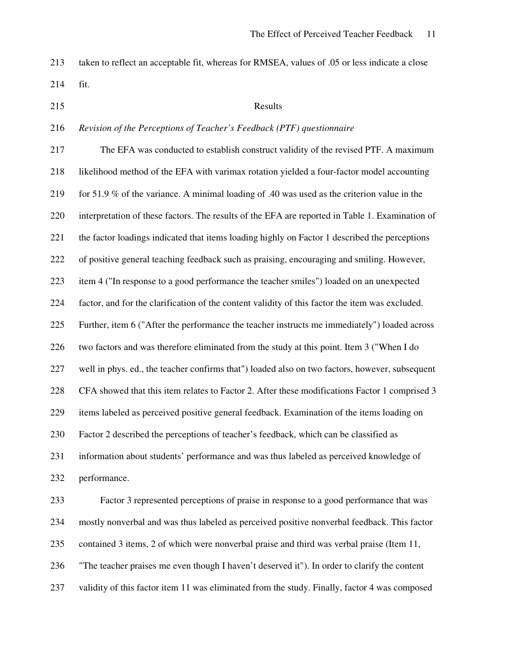taken to reflect an acceptable fit, whereas for RMSEA, values of .05 or less indicate a close

fit.

### 215 Results

### *Revision of the Perceptions of Teacher's Feedback (PTF) questionnaire*

 The EFA was conducted to establish construct validity of the revised PTF. A maximum likelihood method of the EFA with varimax rotation yielded a four-factor model accounting for 51.9 % of the variance. A minimal loading of .40 was used as the criterion value in the interpretation of these factors. The results of the EFA are reported in Table 1. Examination of the factor loadings indicated that items loading highly on Factor 1 described the perceptions of positive general teaching feedback such as praising, encouraging and smiling. However, item 4 ("In response to a good performance the teacher smiles") loaded on an unexpected factor, and for the clarification of the content validity of this factor the item was excluded. Further, item 6 ("After the performance the teacher instructs me immediately") loaded across two factors and was therefore eliminated from the study at this point. Item 3 ("When I do well in phys. ed., the teacher confirms that") loaded also on two factors, however, subsequent CFA showed that this item relates to Factor 2. After these modifications Factor 1 comprised 3 items labeled as perceived positive general feedback. Examination of the items loading on Factor 2 described the perceptions of teacher's feedback, which can be classified as information about students' performance and was thus labeled as perceived knowledge of performance. Factor 3 represented perceptions of praise in response to a good performance that was mostly nonverbal and was thus labeled as perceived positive nonverbal feedback. This factor

contained 3 items, 2 of which were nonverbal praise and third was verbal praise (Item 11,

"The teacher praises me even though I haven't deserved it"). In order to clarify the content

validity of this factor item 11 was eliminated from the study. Finally, factor 4 was composed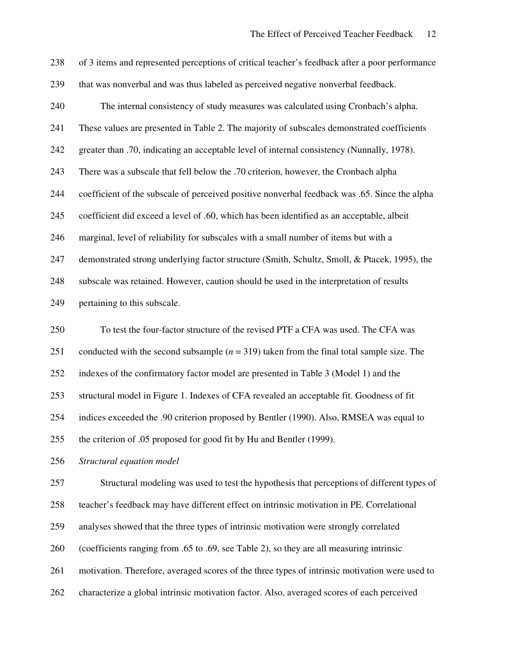| 238 | of 3 items and represented perceptions of critical teacher's feedback after a poor performance |
|-----|------------------------------------------------------------------------------------------------|
| 239 | that was nonverbal and was thus labeled as perceived negative nonverbal feedback.              |
| 240 | The internal consistency of study measures was calculated using Cronbach's alpha.              |
| 241 | These values are presented in Table 2. The majority of subscales demonstrated coefficients     |
| 242 | greater than .70, indicating an acceptable level of internal consistency (Nunnally, 1978).     |
| 243 | There was a subscale that fell below the .70 criterion, however, the Cronbach alpha            |
| 244 | coefficient of the subscale of perceived positive nonverbal feedback was .65. Since the alpha  |
| 245 | coefficient did exceed a level of .60, which has been identified as an acceptable, albeit      |
| 246 | marginal, level of reliability for subscales with a small number of items but with a           |
| 247 | demonstrated strong underlying factor structure (Smith, Schultz, Smoll, & Ptacek, 1995), the   |
| 248 | subscale was retained. However, caution should be used in the interpretation of results        |
| 249 | pertaining to this subscale.                                                                   |
| 250 | To test the four-factor structure of the revised PTF a CFA was used. The CFA was               |
| 251 | conducted with the second subsample $(n = 319)$ taken from the final total sample size. The    |
| 252 | indexes of the confirmatory factor model are presented in Table 3 (Model 1) and the            |
|     |                                                                                                |
| 253 | structural model in Figure 1. Indexes of CFA revealed an acceptable fit. Goodness of fit       |
| 254 | indices exceeded the .90 criterion proposed by Bentler (1990). Also, RMSEA was equal to        |
| 255 | the criterion of .05 proposed for good fit by Hu and Bentler (1999).                           |
| 256 | Structural equation model                                                                      |
| 257 | Structural modeling was used to test the hypothesis that perceptions of different types of     |
| 258 | teacher's feedback may have different effect on intrinsic motivation in PE. Correlational      |
| 259 | analyses showed that the three types of intrinsic motivation were strongly correlated          |
| 260 | (coefficients ranging from .65 to .69, see Table 2), so they are all measuring intrinsic       |

characterize a global intrinsic motivation factor. Also, averaged scores of each perceived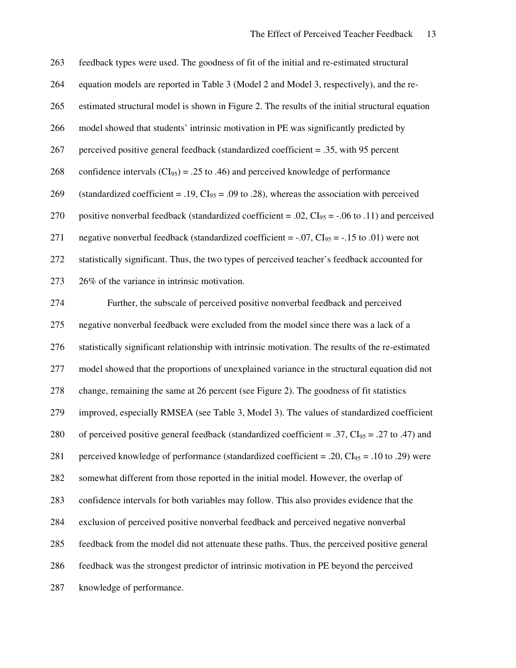| 263 | feedback types were used. The goodness of fit of the initial and re-estimated structural                    |
|-----|-------------------------------------------------------------------------------------------------------------|
| 264 | equation models are reported in Table 3 (Model 2 and Model 3, respectively), and the re-                    |
| 265 | estimated structural model is shown in Figure 2. The results of the initial structural equation             |
| 266 | model showed that students' intrinsic motivation in PE was significantly predicted by                       |
| 267 | perceived positive general feedback (standardized coefficient = .35, with 95 percent                        |
| 268 | confidence intervals ( $CI_{95}$ ) = .25 to .46) and perceived knowledge of performance                     |
| 269 | (standardized coefficient = .19, $CI_{95} = .09$ to .28), whereas the association with perceived            |
| 270 | positive nonverbal feedback (standardized coefficient = .02, $CI_{95} = -.06$ to .11) and perceived         |
| 271 | negative nonverbal feedback (standardized coefficient = $-.07$ , CI <sub>95</sub> = $-.15$ to .01) were not |
| 272 | statistically significant. Thus, the two types of perceived teacher's feedback accounted for                |
| 273 | 26% of the variance in intrinsic motivation.                                                                |
| 274 | Further, the subscale of perceived positive nonverbal feedback and perceived                                |
| 275 | negative nonverbal feedback were excluded from the model since there was a lack of a                        |
| 276 | statistically significant relationship with intrinsic motivation. The results of the re-estimated           |
| 277 | model showed that the proportions of unexplained variance in the structural equation did not                |
| 278 | change, remaining the same at 26 percent (see Figure 2). The goodness of fit statistics                     |
| 279 | improved, especially RMSEA (see Table 3, Model 3). The values of standardized coefficient                   |
| 280 | of perceived positive general feedback (standardized coefficient = .37, $CI_{95}$ = .27 to .47) and         |
| 281 | perceived knowledge of performance (standardized coefficient = .20, $CI_{95}$ = .10 to .29) were            |
| 282 | somewhat different from those reported in the initial model. However, the overlap of                        |
| 283 | confidence intervals for both variables may follow. This also provides evidence that the                    |
| 284 | exclusion of perceived positive nonverbal feedback and perceived negative nonverbal                         |
| 285 | feedback from the model did not attenuate these paths. Thus, the perceived positive general                 |
| 286 | feedback was the strongest predictor of intrinsic motivation in PE beyond the perceived                     |
| 287 | knowledge of performance.                                                                                   |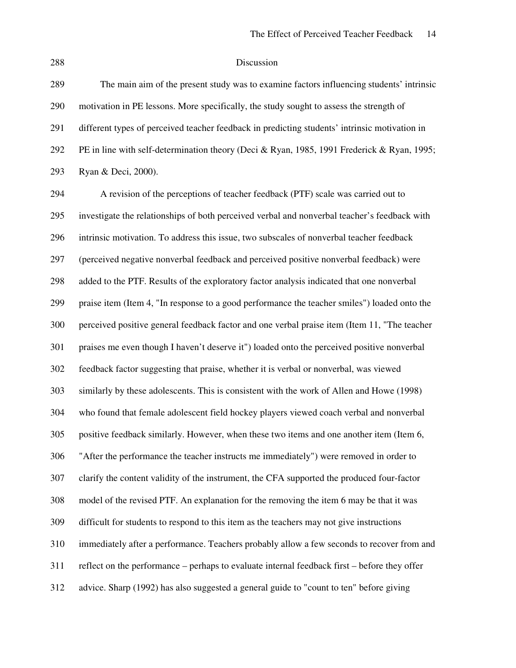## Discussion

| 289 | The main aim of the present study was to examine factors influencing students' intrinsic      |
|-----|-----------------------------------------------------------------------------------------------|
| 290 | motivation in PE lessons. More specifically, the study sought to assess the strength of       |
| 291 | different types of perceived teacher feedback in predicting students' intrinsic motivation in |
| 292 | PE in line with self-determination theory (Deci & Ryan, 1985, 1991 Frederick & Ryan, 1995;    |
| 293 | Ryan & Deci, 2000).                                                                           |
| 294 | A revision of the perceptions of teacher feedback (PTF) scale was carried out to              |
| 295 | investigate the relationships of both perceived verbal and nonverbal teacher's feedback with  |
| 296 | intrinsic motivation. To address this issue, two subscales of nonverbal teacher feedback      |
| 297 | (perceived negative nonverbal feedback and perceived positive nonverbal feedback) were        |
| 298 | added to the PTF. Results of the exploratory factor analysis indicated that one nonverbal     |
| 299 | praise item (Item 4, "In response to a good performance the teacher smiles") loaded onto the  |
| 300 | perceived positive general feedback factor and one verbal praise item (Item 11, "The teacher  |
| 301 | praises me even though I haven't deserve it") loaded onto the perceived positive nonverbal    |
| 302 | feedback factor suggesting that praise, whether it is verbal or nonverbal, was viewed         |
| 303 | similarly by these adolescents. This is consistent with the work of Allen and Howe (1998)     |
| 304 | who found that female adolescent field hockey players viewed coach verbal and nonverbal       |
| 305 | positive feedback similarly. However, when these two items and one another item (Item 6,      |
| 306 | "After the performance the teacher instructs me immediately") were removed in order to        |
| 307 | clarify the content validity of the instrument, the CFA supported the produced four-factor    |
| 308 | model of the revised PTF. An explanation for the removing the item 6 may be that it was       |
| 309 | difficult for students to respond to this item as the teachers may not give instructions      |
| 310 | immediately after a performance. Teachers probably allow a few seconds to recover from and    |
| 311 | reflect on the performance – perhaps to evaluate internal feedback first – before they offer  |
| 312 | advice. Sharp (1992) has also suggested a general guide to "count to ten" before giving       |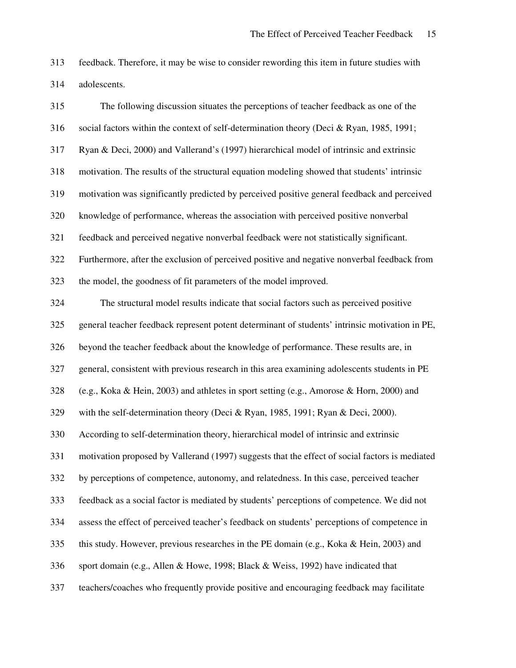feedback. Therefore, it may be wise to consider rewording this item in future studies with adolescents.

| 315 | The following discussion situates the perceptions of teacher feedback as one of the            |
|-----|------------------------------------------------------------------------------------------------|
| 316 | social factors within the context of self-determination theory (Deci & Ryan, 1985, 1991;       |
| 317 | Ryan & Deci, 2000) and Vallerand's (1997) hierarchical model of intrinsic and extrinsic        |
| 318 | motivation. The results of the structural equation modeling showed that students' intrinsic    |
| 319 | motivation was significantly predicted by perceived positive general feedback and perceived    |
| 320 | knowledge of performance, whereas the association with perceived positive nonverbal            |
| 321 | feedback and perceived negative nonverbal feedback were not statistically significant.         |
| 322 | Furthermore, after the exclusion of perceived positive and negative nonverbal feedback from    |
| 323 | the model, the goodness of fit parameters of the model improved.                               |
| 324 | The structural model results indicate that social factors such as perceived positive           |
| 325 | general teacher feedback represent potent determinant of students' intrinsic motivation in PE, |
| 326 | beyond the teacher feedback about the knowledge of performance. These results are, in          |
| 327 | general, consistent with previous research in this area examining adolescents students in PE   |
| 328 | (e.g., Koka & Hein, 2003) and athletes in sport setting (e.g., Amorose & Horn, 2000) and       |
| 329 | with the self-determination theory (Deci & Ryan, 1985, 1991; Ryan & Deci, 2000).               |
| 330 | According to self-determination theory, hierarchical model of intrinsic and extrinsic          |
| 331 | motivation proposed by Vallerand (1997) suggests that the effect of social factors is mediated |
| 332 | by perceptions of competence, autonomy, and relatedness. In this case, perceived teacher       |
| 333 | feedback as a social factor is mediated by students' perceptions of competence. We did not     |
| 334 | assess the effect of perceived teacher's feedback on students' perceptions of competence in    |
| 335 | this study. However, previous researches in the PE domain (e.g., Koka & Hein, 2003) and        |
| 336 | sport domain (e.g., Allen & Howe, 1998; Black & Weiss, 1992) have indicated that               |
| 337 | teachers/coaches who frequently provide positive and encouraging feedback may facilitate       |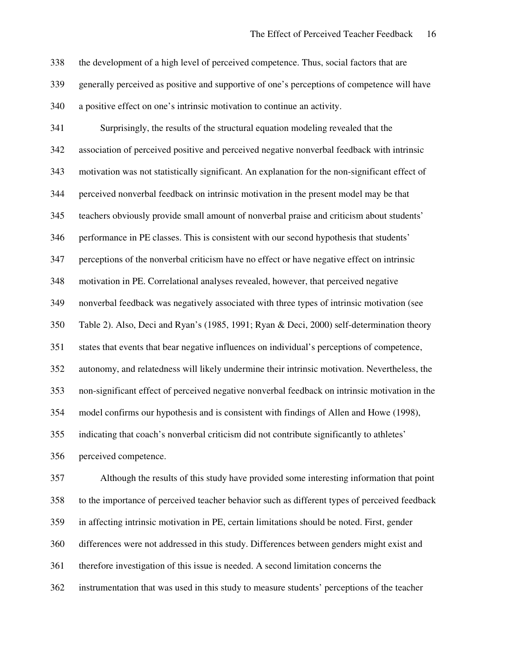the development of a high level of perceived competence. Thus, social factors that are generally perceived as positive and supportive of one's perceptions of competence will have a positive effect on one's intrinsic motivation to continue an activity.

 Surprisingly, the results of the structural equation modeling revealed that the association of perceived positive and perceived negative nonverbal feedback with intrinsic motivation was not statistically significant. An explanation for the non-significant effect of perceived nonverbal feedback on intrinsic motivation in the present model may be that teachers obviously provide small amount of nonverbal praise and criticism about students' performance in PE classes. This is consistent with our second hypothesis that students' perceptions of the nonverbal criticism have no effect or have negative effect on intrinsic motivation in PE. Correlational analyses revealed, however, that perceived negative nonverbal feedback was negatively associated with three types of intrinsic motivation (see Table 2). Also, Deci and Ryan's (1985, 1991; Ryan & Deci, 2000) self-determination theory states that events that bear negative influences on individual's perceptions of competence, autonomy, and relatedness will likely undermine their intrinsic motivation. Nevertheless, the non-significant effect of perceived negative nonverbal feedback on intrinsic motivation in the model confirms our hypothesis and is consistent with findings of Allen and Howe (1998), indicating that coach's nonverbal criticism did not contribute significantly to athletes' perceived competence. Although the results of this study have provided some interesting information that point to the importance of perceived teacher behavior such as different types of perceived feedback

in affecting intrinsic motivation in PE, certain limitations should be noted. First, gender

differences were not addressed in this study. Differences between genders might exist and

therefore investigation of this issue is needed. A second limitation concerns the

instrumentation that was used in this study to measure students' perceptions of the teacher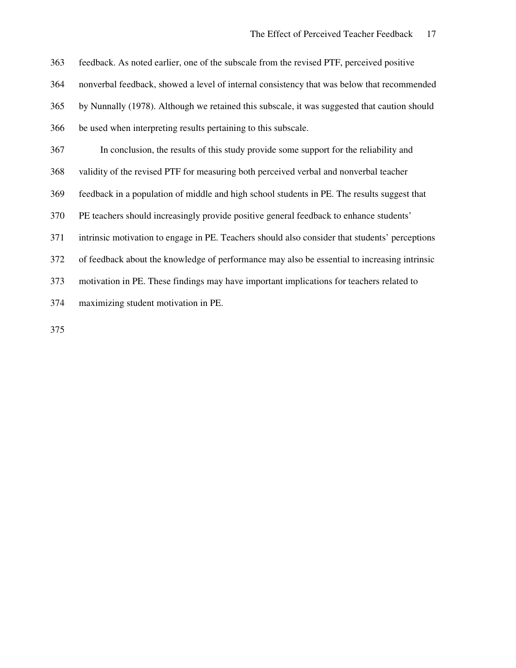feedback. As noted earlier, one of the subscale from the revised PTF, perceived positive nonverbal feedback, showed a level of internal consistency that was below that recommended by Nunnally (1978). Although we retained this subscale, it was suggested that caution should be used when interpreting results pertaining to this subscale. In conclusion, the results of this study provide some support for the reliability and validity of the revised PTF for measuring both perceived verbal and nonverbal teacher feedback in a population of middle and high school students in PE. The results suggest that PE teachers should increasingly provide positive general feedback to enhance students' intrinsic motivation to engage in PE. Teachers should also consider that students' perceptions of feedback about the knowledge of performance may also be essential to increasing intrinsic motivation in PE. These findings may have important implications for teachers related to maximizing student motivation in PE.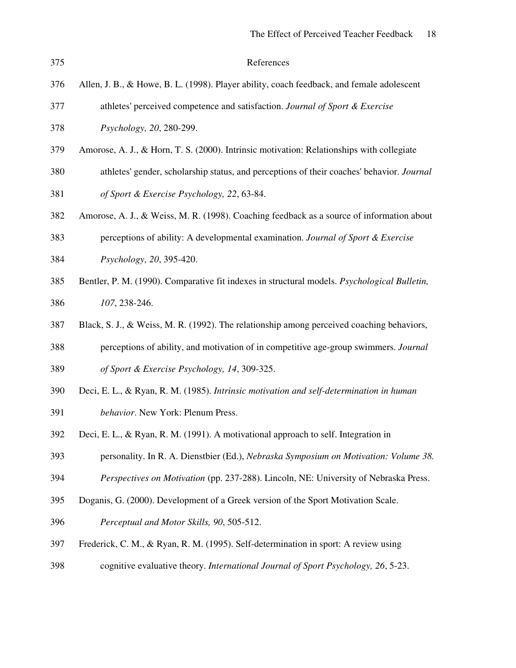| 375 | References                                                                                |
|-----|-------------------------------------------------------------------------------------------|
| 376 | Allen, J. B., & Howe, B. L. (1998). Player ability, coach feedback, and female adolescent |
| 377 | athletes' perceived competence and satisfaction. Journal of Sport & Exercise              |
| 378 | <i>Psychology</i> , 20, 280-299.                                                          |
|     |                                                                                           |

- Amorose, A. J., & Horn, T. S. (2000). Intrinsic motivation: Relationships with collegiate
- athletes'gender, scholarship status, and perceptions of their coaches'behavior. *Journal of Sport & Exercise Psychology, 22*, 63-84.
- Amorose, A. J., & Weiss, M. R. (1998). Coaching feedback as a source of information about
- perceptions of ability: A developmental examination. *Journal of Sport & Exercise Psychology, 20*, 395-420.
- Bentler, P. M. (1990). Comparative fit indexes in structural models. *Psychological Bulletin, 107*, 238-246.
- Black, S. J., & Weiss, M. R. (1992). The relationship among perceived coaching behaviors,
- perceptions of ability, and motivation of in competitive age-group swimmers. *Journal of Sport & Exercise Psychology, 14*, 309-325.
- Deci, E. L., & Ryan, R. M. (1985). *Intrinsic motivation and self-determination in human*
- *behavior*. New York: Plenum Press.
- Deci, E. L., & Ryan, R. M. (1991). A motivational approach to self. Integration in
- personality. In R. A. Dienstbier (Ed.), *Nebraska Symposium on Motivation: Volume 38.*
- *Perspectives on Motivation* (pp. 237-288). Lincoln, NE: University of Nebraska Press.
- Doganis, G. (2000). Development of a Greek version of the Sport Motivation Scale.
- *Perceptual and Motor Skills, 90*, 505-512.
- Frederick, C. M., & Ryan, R. M. (1995). Self-determination in sport: A review using
- cognitive evaluative theory. *International Journal of Sport Psychology, 26*, 5-23.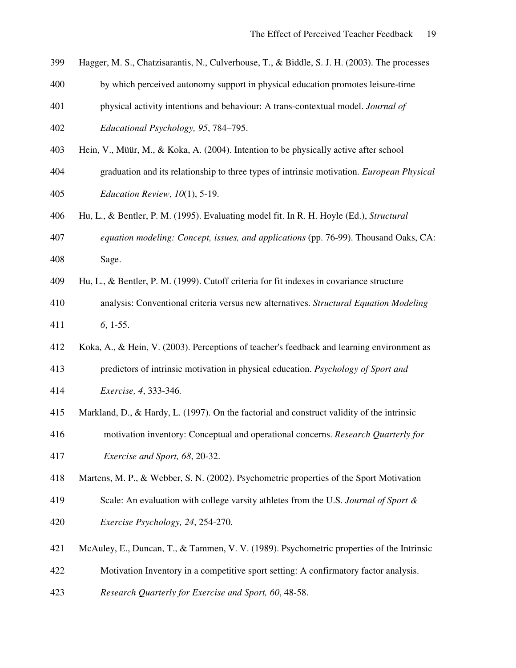- Hagger, M. S., Chatzisarantis, N., Culverhouse, T., & Biddle, S. J. H. (2003). The processes
- by which perceived autonomy support in physical education promotes leisure-time
- physical activity intentions and behaviour: A trans-contextual model. *Journal of Educational Psychology, 95*, 784–795.
- Hein, V., Müür, M., & Koka, A. (2004). Intention to be physically active after school
- graduation and its relationship to three types of intrinsic motivation. *European Physical Education Review*, *10*(1), 5-19.
- Hu, L., & Bentler, P. M. (1995). Evaluating model fit. In R. H. Hoyle (Ed.), *Structural*
- *equation modeling: Concept, issues, and applications* (pp. 76-99). Thousand Oaks, CA: Sage.
- Hu, L., & Bentler, P. M. (1999). Cutoff criteria for fit indexes in covariance structure
- analysis: Conventional criteria versus new alternatives. *Structural Equation Modeling 6*, 1-55.
- Koka, A., & Hein, V. (2003). Perceptions of teacher's feedback and learning environment as
- predictors of intrinsic motivation in physical education. *Psychology of Sport and*
- *Exercise, 4*, 333-346*.*
- Markland, D., & Hardy, L. (1997). On the factorial and construct validity of the intrinsic
- motivation inventory: Conceptual and operational concerns. *Research Quarterly for Exercise and Sport, 68*, 20-32.
- Martens, M. P., & Webber, S. N. (2002). Psychometric properties of the Sport Motivation
- Scale: An evaluation with college varsity athletes from the U.S. *Journal of Sport & Exercise Psychology, 24*, 254-270.
- McAuley, E., Duncan, T., & Tammen, V. V. (1989). Psychometric properties of the Intrinsic
- Motivation Inventory in a competitive sport setting: A confirmatory factor analysis.
- *Research Quarterly for Exercise and Sport, 60*, 48-58.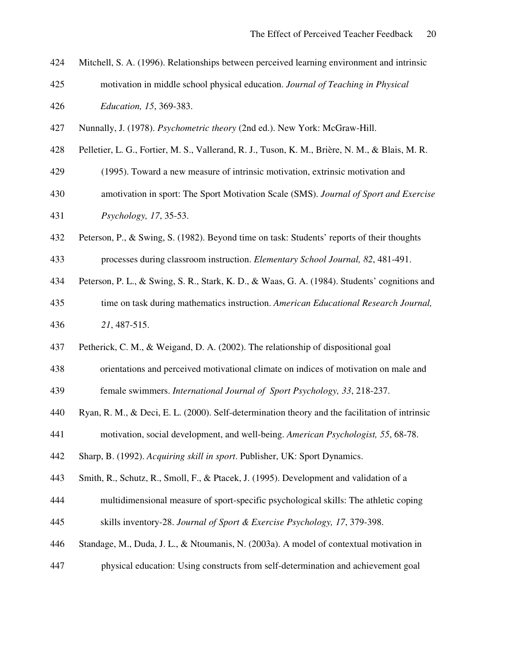- Mitchell, S. A. (1996). Relationships between perceived learning environment and intrinsic motivation in middle school physical education. *Journal of Teaching in Physical*
- *Education, 15*, 369-383.
- Nunnally, J. (1978). *Psychometric theory* (2nd ed.). New York: McGraw-Hill.
- Pelletier, L. G., Fortier, M. S., Vallerand, R. J., Tuson, K. M., Brière, N. M., & Blais, M. R.
- (1995). Toward a new measure of intrinsic motivation, extrinsic motivation and
- amotivation in sport: The Sport Motivation Scale (SMS). *Journal of Sport and Exercise Psychology, 17*, 35-53.
- Peterson, P., & Swing, S. (1982). Beyond time on task: Students' reports of their thoughts
- processes during classroom instruction. *Elementary School Journal, 82*, 481-491.
- Peterson, P. L., & Swing, S. R., Stark, K. D., & Waas, G. A. (1984). Students' cognitions and
- time on task during mathematics instruction. *American Educational Research Journal, 21*, 487-515.
- Petherick, C. M., & Weigand, D. A. (2002). The relationship of dispositional goal
- orientations and perceived motivational climate on indices of motivation on male and

female swimmers. *International Journal of Sport Psychology, 33*, 218-237.

- Ryan, R. M., & Deci, E. L. (2000). Self-determination theory and the facilitation of intrinsic
- motivation, social development, and well-being. *American Psychologist, 55*, 68-78.
- Sharp, B. (1992). *Acquiring skill in sport*. Publisher, UK: Sport Dynamics.
- Smith, R., Schutz, R., Smoll, F., & Ptacek, J. (1995). Development and validation of a
- multidimensional measure of sport-specific psychological skills: The athletic coping skills inventory-28. *Journal of Sport & Exercise Psychology, 17*, 379-398.
- Standage, M., Duda, J. L., & Ntoumanis, N. (2003a). A model of contextual motivation in
- physical education: Using constructs from self-determination and achievement goal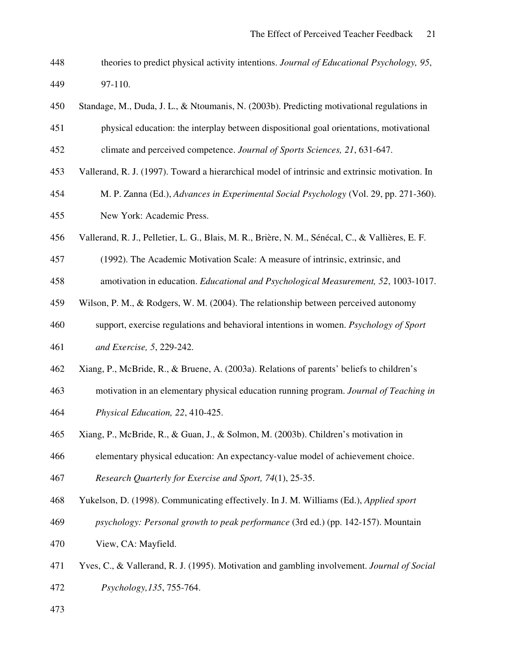- theories to predict physical activity intentions. *Journal of Educational Psychology, 95*, 97-110.
- Standage, M., Duda, J. L., & Ntoumanis, N. (2003b). Predicting motivational regulations in physical education: the interplay between dispositional goal orientations, motivational climate and perceived competence. *Journal of Sports Sciences, 21*, 631-647.
- Vallerand, R. J. (1997). Toward a hierarchical model of intrinsic and extrinsic motivation. In
- M. P. Zanna (Ed.), *Advances in Experimental Social Psychology* (Vol. 29, pp. 271-360). New York: Academic Press.
- Vallerand, R. J., Pelletier, L. G., Blais, M. R., Brière, N. M., Sénécal, C., & Vallières, E. F.
- (1992). The Academic Motivation Scale: A measure of intrinsic, extrinsic, and
- amotivation in education. *Educational and Psychological Measurement, 52*, 1003-1017.
- Wilson, P. M., & Rodgers, W. M. (2004). The relationship between perceived autonomy
- support, exercise regulations and behavioral intentions in women. *Psychology of Sport and Exercise, 5*, 229-242.
- Xiang, P., McBride, R., & Bruene, A. (2003a). Relations of parents' beliefs to children's
- motivation in an elementary physical education running program. *Journal of Teaching in Physical Education, 22*, 410-425.
- Xiang, P., McBride, R., & Guan, J., & Solmon, M. (2003b). Children's motivation in
- elementary physical education: An expectancy-value model of achievement choice.

*Research Quarterly for Exercise and Sport, 74*(1), 25-35.

- Yukelson, D. (1998). Communicating effectively. In J. M. Williams (Ed.), *Applied sport*
- *psychology: Personal growth to peak performance* (3rd ed.) (pp. 142-157). Mountain
- View, CA: Mayfield.
- Yves, C., & Vallerand, R. J. (1995). Motivation and gambling involvement. *Journal of Social Psychology,135*, 755-764.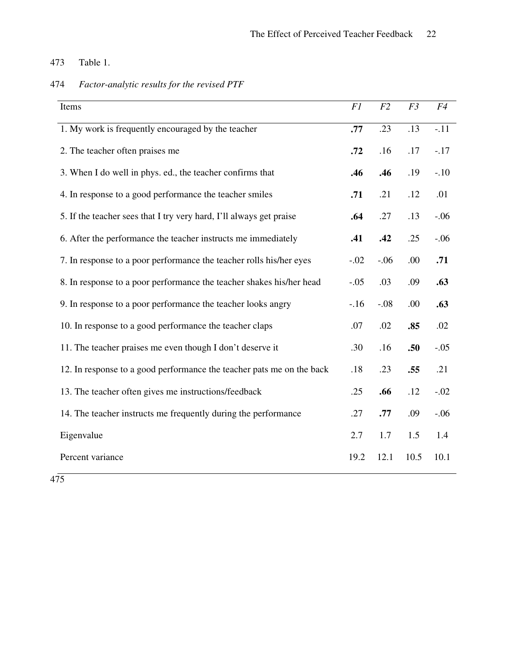## 473 Table 1.

| 474 | Factor-analytic results for the revised PTF |
|-----|---------------------------------------------|
|     |                                             |

| Items                                                                 | F1     | F2     | F3   | F4     |
|-----------------------------------------------------------------------|--------|--------|------|--------|
| 1. My work is frequently encouraged by the teacher                    | .77    | .23    | .13  | $-.11$ |
| 2. The teacher often praises me                                       | .72    | .16    | .17  | $-.17$ |
| 3. When I do well in phys. ed., the teacher confirms that             | .46    | .46    | .19  | $-.10$ |
| 4. In response to a good performance the teacher smiles               | .71    | .21    | .12  | .01    |
| 5. If the teacher sees that I try very hard, I'll always get praise   | .64    | .27    | .13  | $-.06$ |
| 6. After the performance the teacher instructs me immediately         | .41    | .42    | .25  | $-.06$ |
| 7. In response to a poor performance the teacher rolls his/her eyes   | $-.02$ | $-.06$ | .00  | .71    |
| 8. In response to a poor performance the teacher shakes his/her head  | $-.05$ | .03    | .09  | .63    |
| 9. In response to a poor performance the teacher looks angry          | $-.16$ | $-.08$ | .00  | .63    |
| 10. In response to a good performance the teacher claps               | .07    | .02    | .85  | .02    |
| 11. The teacher praises me even though I don't deserve it             | .30    | .16    | .50  | $-.05$ |
| 12. In response to a good performance the teacher pats me on the back | .18    | .23    | .55  | .21    |
| 13. The teacher often gives me instructions/feedback                  | .25    | .66    | .12  | $-.02$ |
| 14. The teacher instructs me frequently during the performance        | .27    | .77    | .09  | $-.06$ |
| Eigenvalue                                                            | 2.7    | 1.7    | 1.5  | 1.4    |
| Percent variance                                                      | 19.2   | 12.1   | 10.5 | 10.1   |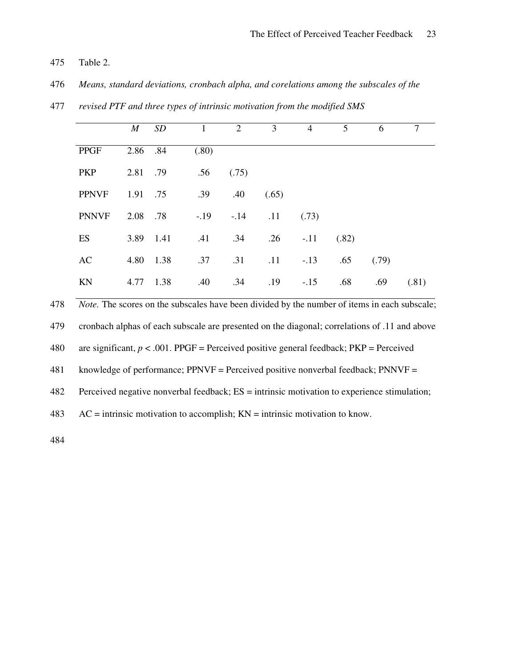- 475 Table 2.
- 476 *Means, standard deviations, cronbach alpha, and corelations among the subscales of the*

|              | $\boldsymbol{M}$ | SD        | $\mathbf{1}$ | 2      | 3     | $\overline{4}$ | 5     | 6     |       |
|--------------|------------------|-----------|--------------|--------|-------|----------------|-------|-------|-------|
| <b>PPGF</b>  | 2.86 .84         |           | (.80)        |        |       |                |       |       |       |
| <b>PKP</b>   | 2.81             | .79       | .56          | (.75)  |       |                |       |       |       |
| <b>PPNVF</b> | 1.91 .75         |           | .39          | .40    | (.65) |                |       |       |       |
| <b>PNNVF</b> | 2.08 .78         |           | $-.19$       | $-.14$ | .11   | (.73)          |       |       |       |
| ES           |                  | 3.89 1.41 | .41          | .34    |       | $.26 - .11$    | (.82) |       |       |
| AC           | 4.80             | 1.38      | .37          | .31    | .11   | $-.13$         | .65   | (.79) |       |
| KN           | 4.77             | 1.38      | .40          | .34    | .19   | $-.15$         | .68   | .69   | (.81) |

477 *revised PTF and three types of intrinsic motivation from the modified SMS*

478 *Note.* The scores on the subscales have been divided by the number of items in each subscale;

479 cronbach alphas of each subscale are presented on the diagonal; correlations of .11 and above

480 are significant,  $p < .001$ . PPGF = Perceived positive general feedback; PKP = Perceived

481 knowledge of performance; PPNVF = Perceived positive nonverbal feedback; PNNVF =

482 Perceived negative nonverbal feedback; ES = intrinsic motivation to experience stimulation;

 $483$  AC = intrinsic motivation to accomplish;  $KN =$  intrinsic motivation to know.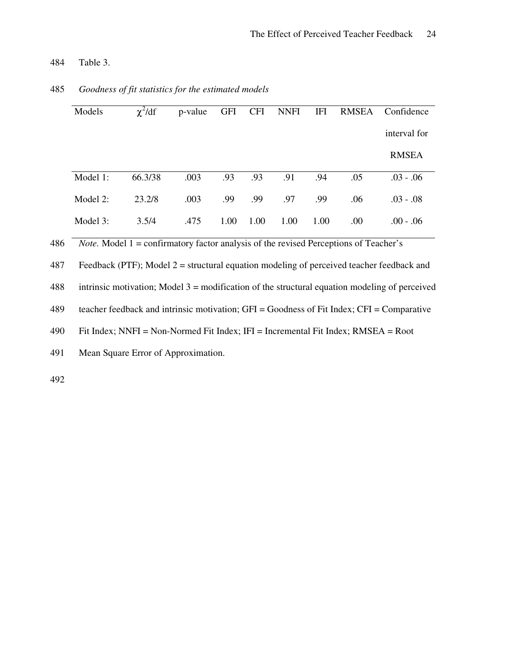484 Table 3.

|     | Models                                                                                          | $\chi^2/df$                                                                                   | p-value | <b>GFI</b> | <b>CFI</b> | <b>NNFI</b> | IFI  | <b>RMSEA</b> | Confidence                                                                                    |
|-----|-------------------------------------------------------------------------------------------------|-----------------------------------------------------------------------------------------------|---------|------------|------------|-------------|------|--------------|-----------------------------------------------------------------------------------------------|
|     |                                                                                                 |                                                                                               |         |            |            |             |      |              | interval for                                                                                  |
|     |                                                                                                 |                                                                                               |         |            |            |             |      |              | <b>RMSEA</b>                                                                                  |
|     | Model 1:                                                                                        | 66.3/38                                                                                       | .003    | .93        | .93        | .91         | .94  | .05          | $.03 - .06$                                                                                   |
|     | Model 2:                                                                                        | 23.2/8                                                                                        | .003    | .99        | .99        | .97         | .99  | .06          | $.03 - .08$                                                                                   |
|     | Model 3:                                                                                        | 3.5/4                                                                                         | .475    | 1.00       | 1.00       | 1.00        | 1.00 | .00          | $.00 - .06$                                                                                   |
| 486 |                                                                                                 | <i>Note.</i> Model $1 =$ confirmatory factor analysis of the revised Perceptions of Teacher's |         |            |            |             |      |              |                                                                                               |
| 487 |                                                                                                 |                                                                                               |         |            |            |             |      |              | Feedback (PTF); Model $2 =$ structural equation modeling of perceived teacher feedback and    |
| 488 | intrinsic motivation; Model $3 =$ modification of the structural equation modeling of perceived |                                                                                               |         |            |            |             |      |              |                                                                                               |
| 489 |                                                                                                 |                                                                                               |         |            |            |             |      |              | teacher feedback and intrinsic motivation; $GFI = Goodness$ of Fit Index; $CFI = Comparative$ |
|     |                                                                                                 |                                                                                               |         |            |            |             |      |              |                                                                                               |

## 485 *Goodness of fit statistics for the estimated models*

490 Fit Index; NNFI = Non-Normed Fit Index; IFI = Incremental Fit Index; RMSEA = Root

491 Mean Square Error of Approximation.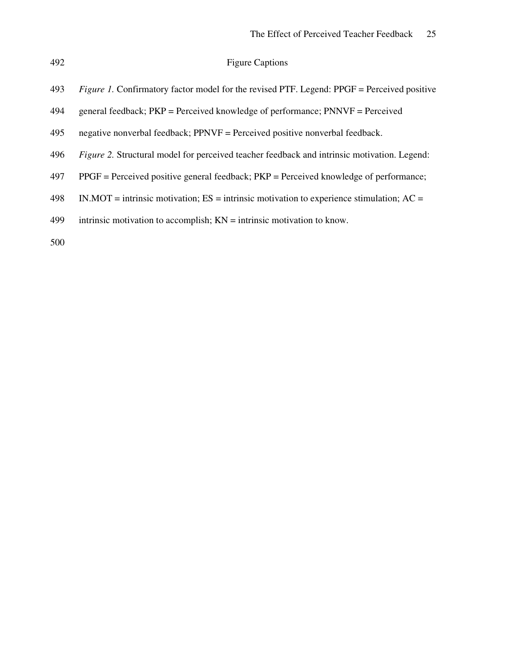### Figure Captions

- *Figure 1.* Confirmatory factor model for the revised PTF. Legend: PPGF = Perceived positive
- general feedback; PKP = Perceived knowledge of performance; PNNVF = Perceived
- negative nonverbal feedback; PPNVF = Perceived positive nonverbal feedback.
- *Figure 2.* Structural model for perceived teacher feedback and intrinsic motivation. Legend:
- PPGF = Perceived positive general feedback; PKP = Perceived knowledge of performance;
- IN.MOT = intrinsic motivation; ES = intrinsic motivation to experience stimulation; AC =
- 499 intrinsic motivation to accomplish;  $KN =$  intrinsic motivation to know.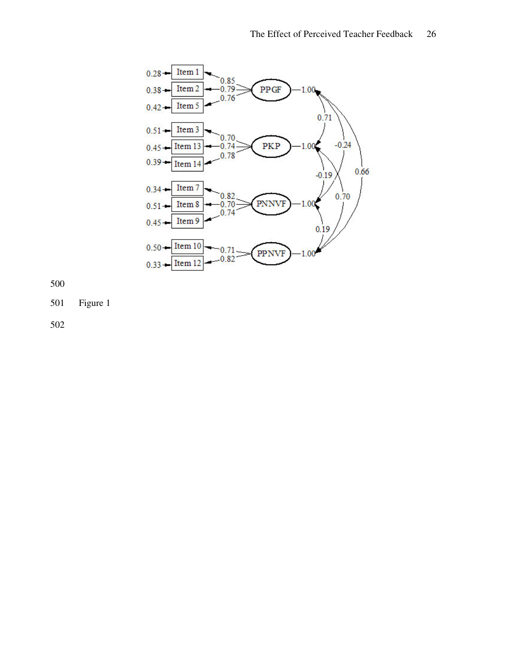

Figure 1